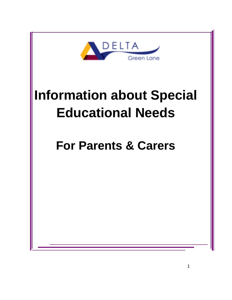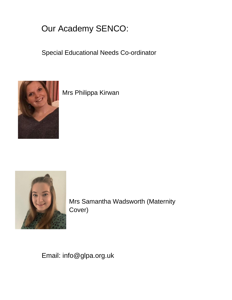# Our Academy SENCO:

Special Educational Needs Co-ordinator



Mrs Philippa Kirwan



Mrs Samantha Wadsworth (Maternity Cover)

Email: info@glpa.org.uk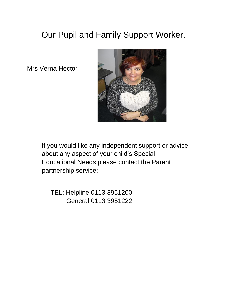# Our Pupil and Family Support Worker.

Mrs Verna Hector



If you would like any independent support or advice about any aspect of your child's Special Educational Needs please contact the Parent partnership service:

TEL: Helpline 0113 3951200 General 0113 3951222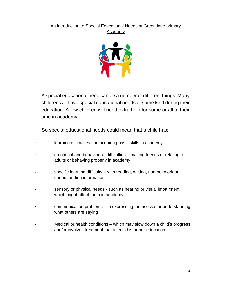#### An introduction to Special Educational Needs at Green lane primary Academy



A special educational need can be a number of different things. Many children will have special educational needs of some kind during their education. A few children will need extra help for some or all of their time in academy.

So special educational needs could mean that a child has:

- learning difficulties in acquiring basic skills in academy
- emotional and behavioural difficulties making friends or relating to adults or behaving properly in academy
- specific learning difficulty with reading, writing, number work or understanding information
- sensory or physical needs such as hearing or visual impairment, which might affect them in academy
- communication problems in expressing themselves or understanding what others are saying
- Medical or health conditions which may slow down a child's progress and/or involves treatment that affects his or her education.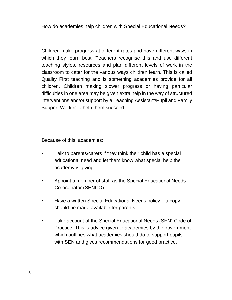Children make progress at different rates and have different ways in which they learn best. Teachers recognise this and use different teaching styles, resources and plan different levels of work in the classroom to cater for the various ways children learn. This is called Quality First teaching and is something academies provide for all children. Children making slower progress or having particular difficulties in one area may be given extra help in the way of structured interventions and/or support by a Teaching Assistant/Pupil and Family Support Worker to help them succeed.

Because of this, academies:

- Talk to parents/carers if they think their child has a special educational need and let them know what special help the academy is giving.
- Appoint a member of staff as the Special Educational Needs Co-ordinator (SENCO).
- Have a written Special Educational Needs policy a copy should be made available for parents.
- Take account of the Special Educational Needs (SEN) Code of Practice. This is advice given to academies by the government which outlines what academies should do to support pupils with SEN and gives recommendations for good practice.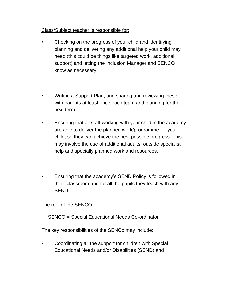### Class/Subject teacher is responsible for:

- Checking on the progress of your child and identifying planning and delivering any additional help your child may need (this could be things like targeted work, additional support) and letting the Inclusion Manager and SENCO know as necessary.
- Writing a Support Plan, and sharing and reviewing these with parents at least once each team and planning for the next term.
- Ensuring that all staff working with your child in the academy are able to deliver the planned work/programme for your child, so they can achieve the best possible progress. This may involve the use of additional adults, outside specialist help and specially planned work and resources.
- Ensuring that the academy's SEND Policy is followed in their classroom and for all the pupils they teach with any SEND

## The role of the SENCO

SENCO = Special Educational Needs Co-ordinator

The key responsibilities of the SENCo may include:

• Coordinating all the support for children with Special Educational Needs and/or Disabilities (SEND) and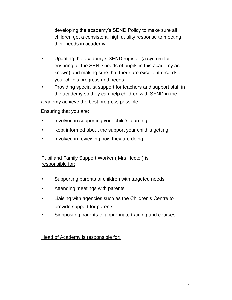developing the academy's SEND Policy to make sure all children get a consistent, high quality response to meeting their needs in academy.

- Updating the academy's SEND register (a system for ensuring all the SEND needs of pupils in this academy are known) and making sure that there are excellent records of your child's progress and needs.
- Providing specialist support for teachers and support staff in the academy so they can help children with SEND in the

academy achieve the best progress possible.

Ensuring that you are:

- Involved in supporting your child's learning.
- Kept informed about the support your child is getting.
- Involved in reviewing how they are doing.

## Pupil and Family Support Worker ( Mrs Hector) is responsible for:

- Supporting parents of children with targeted needs
- Attending meetings with parents
- Liaising with agencies such as the Children's Centre to provide support for parents
- Signposting parents to appropriate training and courses

Head of Academy is responsible for: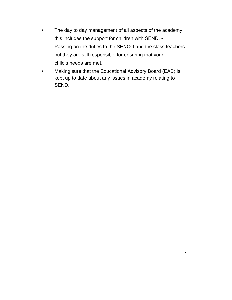- The day to day management of all aspects of the academy, this includes the support for children with SEND. • Passing on the duties to the SENCO and the class teachers but they are still responsible for ensuring that your child's needs are met.
- Making sure that the Educational Advisory Board (EAB) is kept up to date about any issues in academy relating to SEND.

7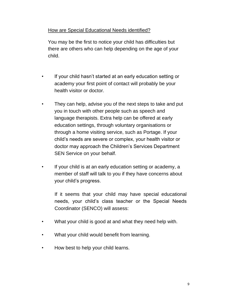### How are Special Educational Needs identified?

You may be the first to notice your child has difficulties but there are others who can help depending on the age of your child.

- If your child hasn't started at an early education setting or academy your first point of contact will probably be your health visitor or doctor.
- They can help, advise you of the next steps to take and put you in touch with other people such as speech and language therapists. Extra help can be offered at early education settings, through voluntary organisations or through a home visiting service, such as Portage. If your child's needs are severe or complex, your health visitor or doctor may approach the Children's Services Department SEN Service on your behalf.
- If your child is at an early education setting or academy, a member of staff will talk to you if they have concerns about your child's progress.

If it seems that your child may have special educational needs, your child's class teacher or the Special Needs Coordinator (SENCO) will assess:

- What your child is good at and what they need help with.
- What your child would benefit from learning.
- How best to help your child learns.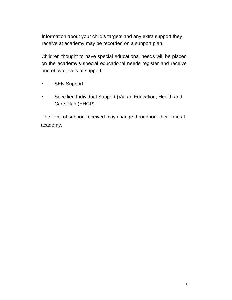Information about your child's targets and any extra support they receive at academy may be recorded on a support plan.

Children thought to have special educational needs will be placed on the academy's special educational needs register and receive one of two levels of support:

- SEN Support
- Specified Individual Support (Via an Education, Health and Care Plan (EHCP).

The level of support received may change throughout their time at academy.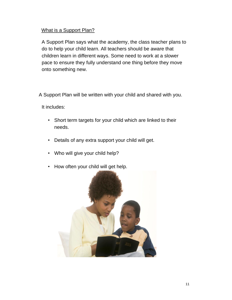### What is a Support Plan?

A Support Plan says what the academy, the class teacher plans to do to help your child learn. All teachers should be aware that children learn in different ways. Some need to work at a slower pace to ensure they fully understand one thing before they move onto something new.

A Support Plan will be written with your child and shared with you.

It includes:

- Short term targets for your child which are linked to their needs.
- Details of any extra support your child will get.
- Who will give your child help?
- How often your child will get help.

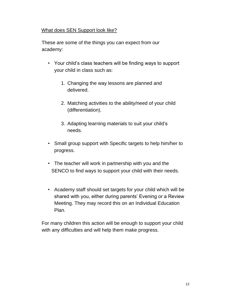### What does SEN Support look like?

These are some of the things you can expect from our academy:

- Your child's class teachers will be finding ways to support your child in class such as:
	- 1. Changing the way lessons are planned and delivered.
	- 2. Matching activities to the ability/need of your child (differentiation).
	- 3. Adapting learning materials to suit your child's needs.
- Small group support with Specific targets to help him/her to progress.
- The teacher will work in partnership with you and the SENCO to find ways to support your child with their needs.
- Academy staff should set targets for your child which will be shared with you, either during parents' Evening or a Review Meeting. They may record this on an Individual Education Plan.

For many children this action will be enough to support your child with any difficulties and will help them make progress.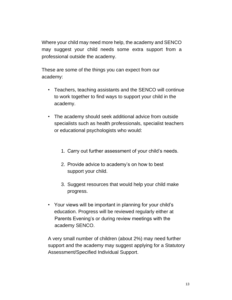Where your child may need more help, the academy and SENCO may suggest your child needs some extra support from a professional outside the academy.

These are some of the things you can expect from our academy:

- Teachers, teaching assistants and the SENCO will continue to work together to find ways to support your child in the academy.
- The academy should seek additional advice from outside specialists such as health professionals, specialist teachers or educational psychologists who would:
	- 1. Carry out further assessment of your child's needs.
	- 2. Provide advice to academy's on how to best support your child.
	- 3. Suggest resources that would help your child make progress.
- Your views will be important in planning for your child's education. Progress will be reviewed regularly either at Parents Evening's or during review meetings with the academy SENCO.

A very small number of children (about 2%) may need further support and the academy may suggest applying for a Statutory Assessment/Specified Individual Support.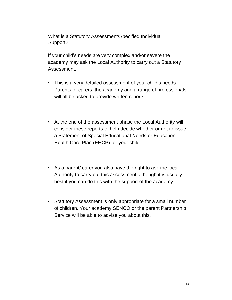# What is a Statutory Assessment/Specified Individual Support?

If your child's needs are very complex and/or severe the academy may ask the Local Authority to carry out a Statutory Assessment.

- This is a very detailed assessment of your child's needs. Parents or carers, the academy and a range of professionals will all be asked to provide written reports.
- At the end of the assessment phase the Local Authority will consider these reports to help decide whether or not to issue a Statement of Special Educational Needs or Education Health Care Plan (EHCP) for your child.
- As a parent/ carer you also have the right to ask the local Authority to carry out this assessment although it is usually best if you can do this with the support of the academy.
- Statutory Assessment is only appropriate for a small number of children. Your academy SENCO or the parent Partnership Service will be able to advise you about this.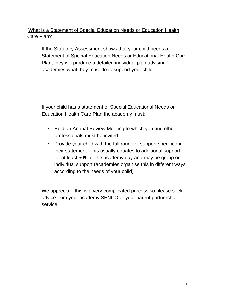# What is a Statement of Special Education Needs or Education Health Care Plan?

If the Statutory Assessment shows that your child needs a Statement of Special Education Needs or Educational Health Care Plan, they will produce a detailed individual plan advising academies what they must do to support your child.

If your child has a statement of Special Educational Needs or Education Health Care Plan the academy must:

- Hold an Annual Review Meeting to which you and other professionals must be invited.
- Provide your child with the full range of support specified in their statement. This usually equates to additional support for at least 50% of the academy day and may be group or individual support (academies organise this in different ways according to the needs of your child)

We appreciate this is a very complicated process so please seek advice from your academy SENCO or your parent partnership service.